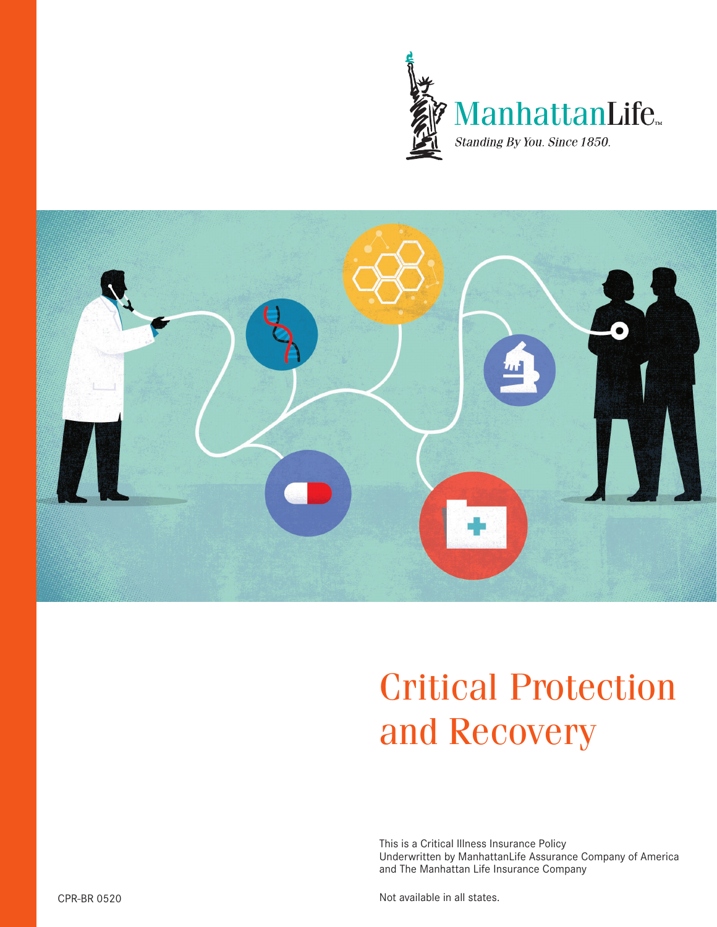



# Critical Protection and Recovery

This is a Critical Illness Insurance Policy Underwritten by ManhattanLife Assurance Company of America and The Manhattan Life Insurance Company

Not available in all states.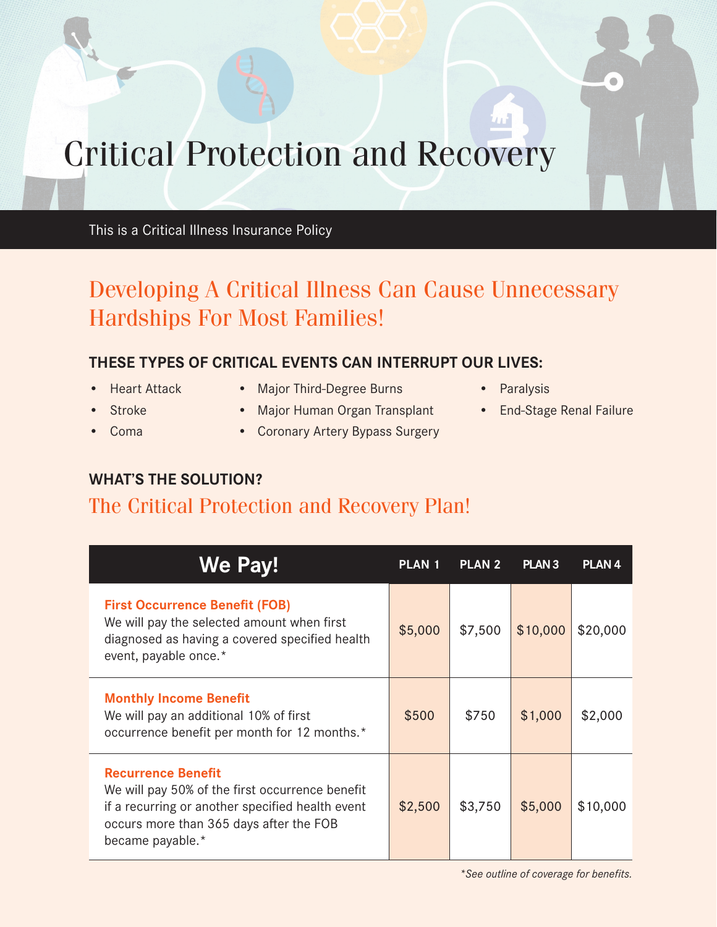## Critical Protection and Recovery

This is a Critical Illness Insurance Policy

## Developing A Critical Illness Can Cause Unnecessary Hardships For Most Families!

#### **THESE TYPES OF CRITICAL EVENTS CAN INTERRUPT OUR LIVES:**

- 
- 
- 
- Heart Attack Major Third-Degree Burns Paralysis
	- Stroke Major Human Organ Transplant End-Stage Renal Failure
	- Coma Coronary Artery Bypass Surgery
- 
- 

#### **WHAT'S THE SOLUTION?**

### The Critical Protection and Recovery Plan!

| We Pay!                                                                                                                                                                                         | <b>PLAN 1</b> | <b>PLAN 2</b> | PLAN <sub>3</sub> | <b>PLAN4</b> |
|-------------------------------------------------------------------------------------------------------------------------------------------------------------------------------------------------|---------------|---------------|-------------------|--------------|
| <b>First Occurrence Benefit (FOB)</b><br>We will pay the selected amount when first<br>diagnosed as having a covered specified health<br>event, payable once.*                                  | \$5,000       | \$7,500       | \$10,000          | \$20,000     |
| <b>Monthly Income Benefit</b><br>We will pay an additional 10% of first<br>occurrence benefit per month for 12 months.*                                                                         | \$500         | \$750         | \$1,000           | \$2,000      |
| <b>Recurrence Benefit</b><br>We will pay 50% of the first occurrence benefit<br>if a recurring or another specified health event<br>occurs more than 365 days after the FOB<br>became payable.* | \$2,500       | \$3,750       | \$5,000           | \$10,000     |

*\*See outline of coverage for benefits.*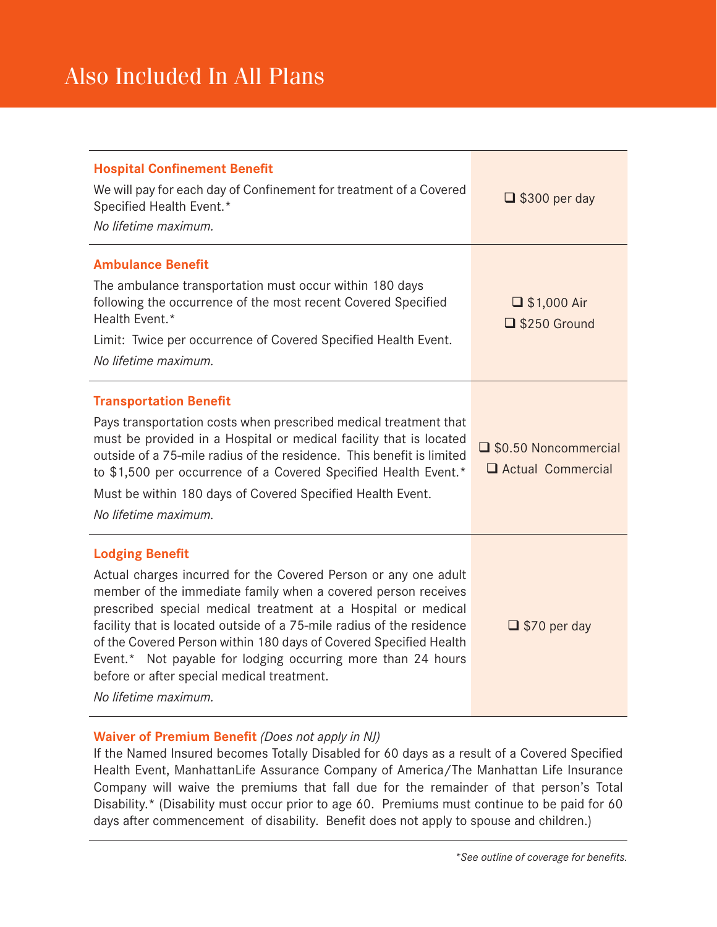| <b>Hospital Confinement Benefit</b><br>We will pay for each day of Confinement for treatment of a Covered<br>Specified Health Event.*<br>No lifetime maximum.                                                                                                                                                                                                                                                                                                                                                   | $\Box$ \$300 per day                        |  |
|-----------------------------------------------------------------------------------------------------------------------------------------------------------------------------------------------------------------------------------------------------------------------------------------------------------------------------------------------------------------------------------------------------------------------------------------------------------------------------------------------------------------|---------------------------------------------|--|
| <b>Ambulance Benefit</b><br>The ambulance transportation must occur within 180 days<br>following the occurrence of the most recent Covered Specified<br>Health Event.*<br>Limit: Twice per occurrence of Covered Specified Health Event.<br>No lifetime maximum.                                                                                                                                                                                                                                                | $\Box$ \$1,000 Air<br>S250 Ground           |  |
| <b>Transportation Benefit</b><br>Pays transportation costs when prescribed medical treatment that<br>must be provided in a Hospital or medical facility that is located<br>outside of a 75-mile radius of the residence. This benefit is limited<br>to \$1,500 per occurrence of a Covered Specified Health Event.*<br>Must be within 180 days of Covered Specified Health Event.<br>No lifetime maximum.                                                                                                       | □ \$0.50 Noncommercial<br>Actual Commercial |  |
| <b>Lodging Benefit</b><br>Actual charges incurred for the Covered Person or any one adult<br>member of the immediate family when a covered person receives<br>prescribed special medical treatment at a Hospital or medical<br>facility that is located outside of a 75-mile radius of the residence<br>of the Covered Person within 180 days of Covered Specified Health<br>Event.* Not payable for lodging occurring more than 24 hours<br>before or after special medical treatment.<br>No lifetime maximum. | $\Box$ \$70 per day                         |  |

#### **Waiver of Premium Benefit** *(Does not apply in NJ)*

If the Named Insured becomes Totally Disabled for 60 days as a result of a Covered Specified Health Event, ManhattanLife Assurance Company of America/The Manhattan Life Insurance Company will waive the premiums that fall due for the remainder of that person's Total Disability.\* (Disability must occur prior to age 60. Premiums must continue to be paid for 60 days after commencement of disability. Benefit does not apply to spouse and children.)